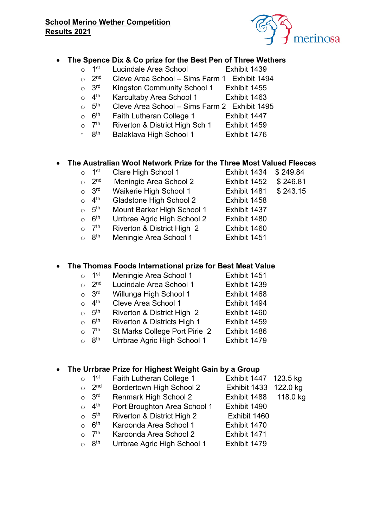#### **School Merino Wether Competition Results 2021**



#### **The Spence Dix & Co prize for the Best Pen of Three Wethers**

- o 1<sup>st</sup> Lucindale Area School **Exhibit 1439**
- $\circ$  2<sup>nd</sup> Cleve Area School Sims Farm 1 Exhibit 1494
- o 3<sup>rd</sup> Kingston Community School 1 Exhibit 1455
- 
- $\circ$  4<sup>th</sup> Karcultaby Area School 1 Exhibit 1463<br>  $\circ$  5<sup>th</sup> Cleve Area School Sims Farm 2 Fxhibit 149 ○  $5<sup>th</sup>$  Cleve Area School – Sims Farm 2 Exhibit 1495<br>○  $6<sup>th</sup>$  Faith Lutheran College 1 Fxhibit 1447
- $\circ$  6<sup>th</sup> Faith Lutheran College 1 Exhibit 1447
- $\circ$  7<sup>th</sup> Riverton & District High Sch 1 Exhibit 1459
- $\circ$  8<sup>th</sup> Balaklava High School 1 Exhibit 1476

#### **The Australian Wool Network Prize for the Three Most Valued Fleeces**

- o 1<sup>st</sup> Clare High School 1 Exhibit 1434 \$ 249.84
- 

Exhibit 1451

Exhibit 1494

- $\circ$  2<sup>nd</sup> Meningie Area School 2 Exhibit 1452  $\frac{1}{3}$  246.81<br>  $\circ$  3<sup>rd</sup> Waikerie High School 1 Fxhibit 1481 \$ 243.15
- o 3<sup>rd</sup> Waikerie High School 1 Exhibit 1481 \$ 243.15
- 4<sup>th</sup> Gladstone High School 2 Exhibit 1458<br>○ 5<sup>th</sup> Mount Barker High School 1 Fxhibit 1437
- $\circ$  5<sup>th</sup> Mount Barker High School 1 Exhibit 1437
- $\circ$  6<sup>th</sup> Urrbrae Agric High School 2 Exhibit 1480
- $\circ$  7<sup>th</sup> Riverton & District High 2 Exhibit 1460
- $\circ$  8<sup>th</sup> Meningie Area School 1 Exhibit 1451

# **The Thomas Foods International prize for Best Meat Value**

- $\circ$  1<sup>st</sup> Meningie Area School 1
- Exhibit 1439  $\circ$  2<sup>nd</sup> Lucindale Area School 1
- Exhibit 1468  $\circ$  3<sup>rd</sup> Willunga High School 1
- $\circ$  4<sup>th</sup> Cleve Area School 1
- Exhibit 1460  $\circ$  5<sup>th</sup> Riverton & District High 2
- Exhibit 1459  $\circ$  6<sup>th</sup> Riverton & Districts High 1
- $\circ$  7<sup>th</sup> St Marks College Port Pirie 2 Exhibit 1486
- $\circ$  8<sup>th</sup> Urrbrae Agric High School 1 Exhibit 1479

# **The Urrbrae Prize for Highest Weight Gain by a Group**

- $\circ$  1<sup>st</sup> Faith Lutheran College 1 Exhibit 1447 123.5 kg
	- Bordertown High School 2 Exhibit 1433 122.0 kg
- $\frac{1}{\sqrt{2}}$  2<sup>nd</sup> o 3<sup>rd</sup> Renmark High School 2 Exhibit 1488 118.0 kg
- $\circ$  4<sup>th</sup> Port Broughton Area School 1 Exhibit 1490
- $\circ$  5<sup>th</sup> Riverton & District High 2 Exhibit 1460
- $\circ$  6<sup>th</sup> Karoonda Area School 1 Exhibit 1470
- $\circ$  7<sup>th</sup> Karoonda Area School 2 Exhibit 1471<br>  $\circ$  8<sup>th</sup> Urrbrae Agric High School 1 Fxhibit 1479
- $\circ$  8<sup>th</sup> Urrbrae Agric High School 1 Exhibit 1479